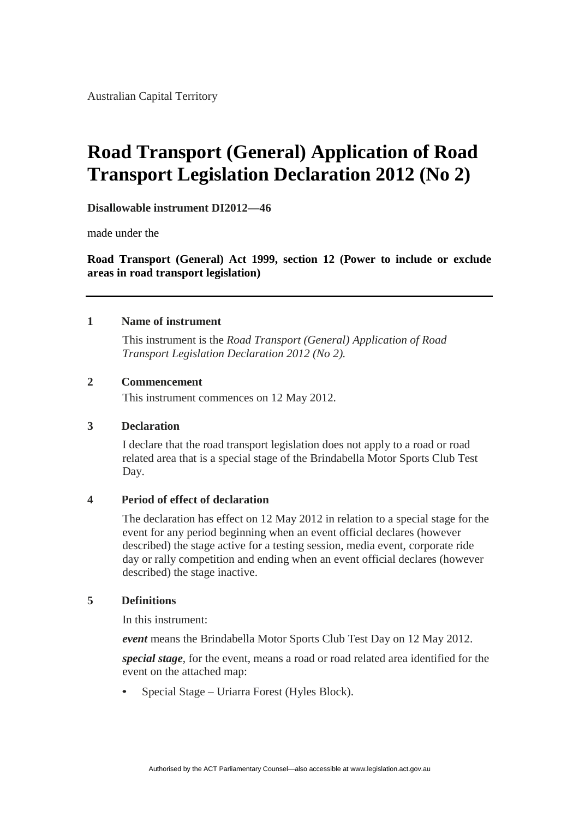Australian Capital Territory

## **Road Transport (General) Application of Road Transport Legislation Declaration 2012 (No 2)**

**Disallowable instrument DI2012—46**

made under the

**Road Transport (General) Act 1999, section 12 (Power to include or exclude areas in road transport legislation)**

#### **1 Name of instrument**

This instrument is the *Road Transport (General) Application of Road Transport Legislation Declaration 2012 (No 2).*

#### **2 Commencement**

This instrument commences on 12 May 2012.

#### **3 Declaration**

I declare that the road transport legislation does not apply to a road or road related area that is a special stage of the Brindabella Motor Sports Club Test Day.

#### **4 Period of effect of declaration**

The declaration has effect on 12 May 2012 in relation to a special stage for the event for any period beginning when an event official declares (however described) the stage active for a testing session, media event, corporate ride day or rally competition and ending when an event official declares (however described) the stage inactive.

#### **5 Definitions**

In this instrument:

*event* means the Brindabella Motor Sports Club Test Day on 12 May 2012.

*special stage*, for the event, means a road or road related area identified for the event on the attached map:

• Special Stage – Uriarra Forest (Hyles Block).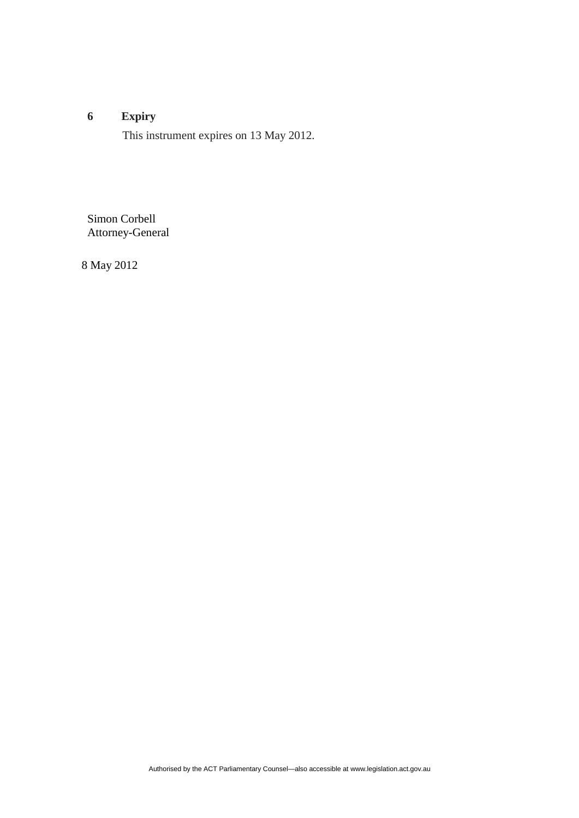### **6 Expiry**

This instrument expires on 13 May 2012.

Simon Corbell Attorney-General

8 May 2012